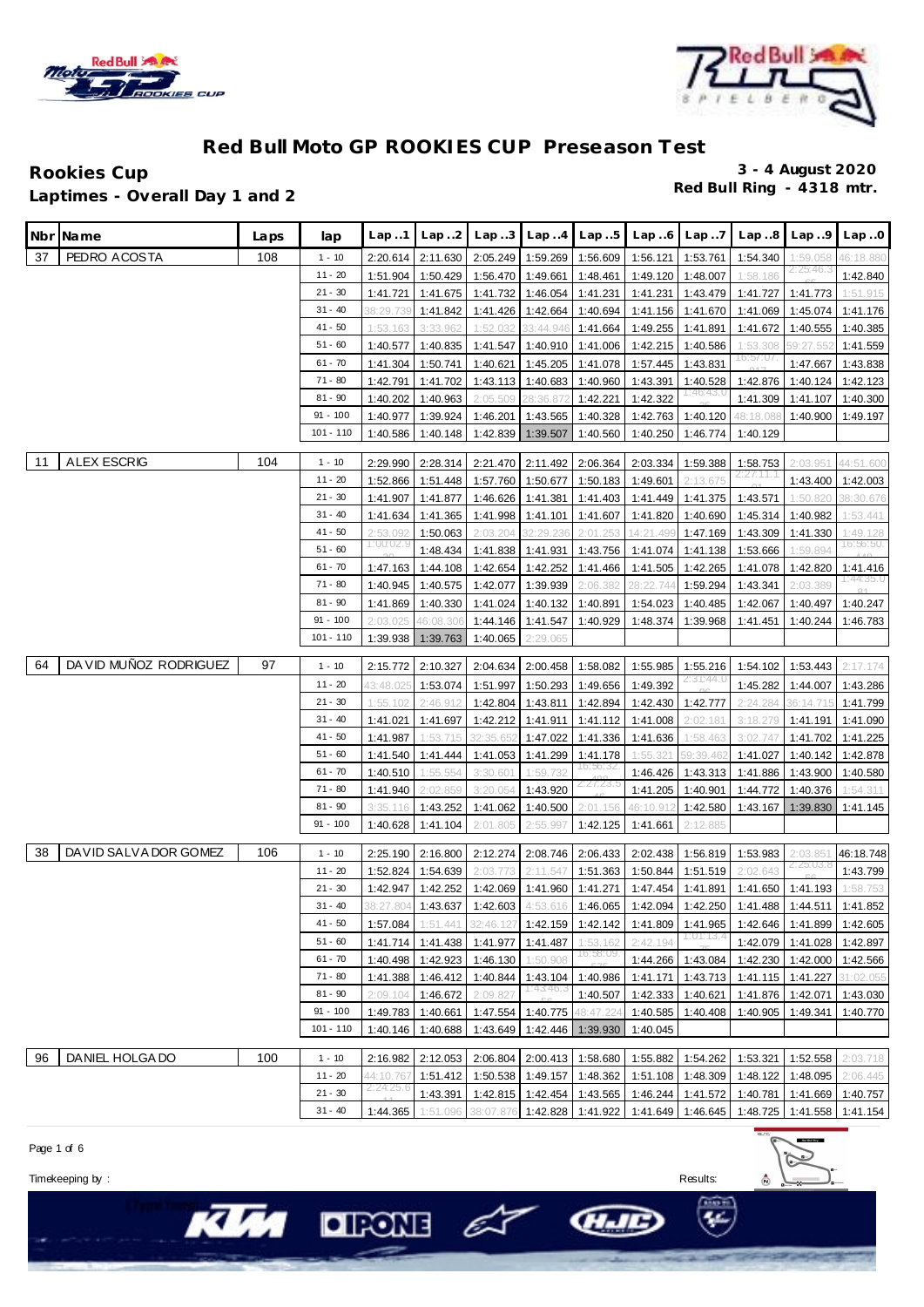



Rookies Cup<br>
1 antimes - Overall Day 1 and 2 **Red Bull Ring - 4318 mtr. Laptimes - Overall Day 1 and 2**

|     | Nbr Name               | Laps | lap         | Lap1      | Lap.2              | Lap.3                               | Lap.4                       | Lap.5                      | Lap.6     | Lap.7                 | Lap.8     | Lap.9                      | Lap.0     |
|-----|------------------------|------|-------------|-----------|--------------------|-------------------------------------|-----------------------------|----------------------------|-----------|-----------------------|-----------|----------------------------|-----------|
| 37  | PEDRO ACOSTA           | 108  | $1 - 10$    | 2:20.614  | 2:11.630           | 2:05.249                            | 1:59.269                    | 1:56.609                   | 1:56.121  | 1:53.761              | 1:54.340  | 1:59.058                   | 46:18.880 |
|     |                        |      | $11 - 20$   | 1:51.904  | 1:50.429           | 1:56.470                            | 1:49.661                    | 1:48.461                   | 1:49.120  | 1:48.007              | 1:58.186  | 2125146.3                  | 1:42.840  |
|     |                        |      | $21 - 30$   | 1:41.721  | 1:41.675           | 1:41.732                            | 1:46.054                    | 1:41.231                   | 1:41.231  | 1:43.479              | 1:41.727  | 1:41.773                   | 1:51.915  |
|     |                        |      | $31 - 40$   | 38:29.73  | 1:41.842           | 1:41.426                            | 1:42.664                    | 1:40.694                   | 1:41.156  | 1:41.670              | 1:41.069  | 1:45.074                   | 1:41.176  |
|     |                        |      | $41 - 50$   | 1:53.163  | 3:33.962           | 1:52.032                            | 33:44.946                   | 1:41.664                   | 1:49.255  | 1:41.891              | 1:41.672  | 1:40.555                   | 1:40.385  |
|     |                        |      | 51 - 60     | 1:40.577  | 1:40.835           | 1:41.547                            | 1:40.910                    | 1:41.006                   | 1:42.215  | 1:40.586              | 1:53.308  | 59:27.552                  | 1:41.559  |
|     |                        |      | $61 - 70$   | 1:41.304  | 1:50.741           | 1:40.621                            | 1:45.205                    | 1:41.078                   | 1:57.445  | 1:43.831              | 16:57:07  | 1:47.667                   | 1:43.838  |
|     |                        |      | $71 - 80$   | 1:42.791  | 1:41.702           | 1:43.113                            | 1:40.683                    | 1:40.960                   | 1:43.391  | 1:40.528              | 1:42.876  | 1:40.124                   | 1:42.123  |
|     |                        |      | $81 - 90$   | 1:40.202  | 1:40.963           | 2:05.509                            | 28:36.872                   | 1:42.221                   | 1:42.322  |                       | 1:41.309  | 1:41.107                   | 1:40.300  |
|     |                        |      | $91 - 100$  | 1:40.977  | 1:39.924           | 1:46.201                            | 1:43.565                    | 1:40.328                   | 1:42.763  | 1:40.120              | 48:18.088 | 1:40.900                   | 1:49.197  |
|     |                        |      | $101 - 110$ | 1:40.586  | 1:40.148           | 1:42.839                            | 1:39.507                    | 1:40.560                   | 1:40.250  | 1:46.774              | 1:40.129  |                            |           |
|     |                        |      |             |           |                    |                                     |                             |                            |           |                       |           |                            |           |
| -11 | <b>ALEX ESCRIG</b>     | 104  | $1 - 10$    | 2:29.990  | 2:28.314           | 2:21.470                            | 2:11.492                    | 2:06.364                   | 2:03.334  | 1:59.388              | 1:58.753  | 2:03.951                   | 44:51.600 |
|     |                        |      | $11 - 20$   | 1:52.866  | 1:51.448           | 1:57.760                            | 1:50.677                    | 1:50.183                   | 1:49.601  | 2:13.675              | 4147.27   | 1:43.400                   | 1:42.003  |
|     |                        |      | $21 - 30$   | 1:41.907  | 1:41.877           | 1:46.626                            | 1:41.381                    | 1:41.403                   | 1:41.449  | 1:41.375              | 1:43.571  | 1:50.820                   | 38:30.676 |
|     |                        |      | $31 - 40$   | 1:41.634  | 1:41.365           | 1:41.998                            | 1:41.101                    | 1:41.607                   | 1:41.820  | 1:40.690              | 1:45.314  | 1:40.982                   | 1:53.441  |
|     |                        |      | $41 - 50$   | 2:53.09   | 1:50.063           | 2:03.204                            | 32:29.236                   | 2:01.253                   | 14:21.49( | 1:47.169              | 1:43.309  | 1:41.330                   | 1:49.128  |
|     |                        |      | 51 - 60     | 1:00:02.9 | 1:48.434           | 1:41.838                            | 1:41.931                    | 1:43.756                   | 1:41.074  | 1:41.138              | 1:53.666  | 1:59.894                   | 16:56:50. |
|     |                        |      | $61 - 70$   | 1:47.163  | 1:44.108           | 1:42.654                            | 1:42.252                    | 1:41.466                   | 1:41.505  | 1:42.265              | 1:41.078  | 1:42.820                   | 1:41.416  |
|     |                        |      | $71 - 80$   | 1:40.945  | 1:40.575           | 1:42.077                            | 1:39.939                    | 2:06.382                   | 28:22.744 | 1:59.294              | 1:43.341  | 2:03.389                   | 1:44:35.0 |
|     |                        |      | $81 - 90$   | 1:41.869  | 1:40.330           | 1:41.024                            | 1:40.132                    | 1:40.891                   | 1:54.023  | 1:40.485              | 1:42.067  | 1:40.497                   | 1:40.247  |
|     |                        |      | $91 - 100$  | 2:03.025  | 16:08.306          | 1:44.146                            | 1:41.547                    | 1:40.929                   | 1:48.374  | 1:39.968              | 1:41.451  | 1:40.244                   | 1:46.783  |
|     |                        |      | $101 - 110$ | 1:39.938  | 1:39.763           | 1:40.065                            | 2:29.065                    |                            |           |                       |           |                            |           |
|     |                        |      |             |           |                    |                                     |                             |                            |           |                       |           |                            |           |
| 64  | DA VID MUÑOZ RODRIGUEZ | 97   | $1 - 10$    | 2:15.772  | 2:10.327           | 2:04.634                            | 2:00.458                    | 1:58.082                   | 1:55.985  | 1:55.216<br>2:31:44.0 | 1:54.102  | 1:53.443                   | 2:17.174  |
|     |                        |      | $11 - 20$   | 43:48.02  | 1:53.074           | 1:51.997                            | 1:50.293                    | 1:49.656                   | 1:49.392  |                       | 1:45.282  | 1:44.007                   | 1:43.286  |
|     |                        |      | $21 - 30$   | 1:55.102  | 2:46.912           | 1:42.804                            | 1:43.811                    | 1:42.894                   | 1:42.430  | 1:42.777              | 2:24.284  | 36:14.715                  | 1:41.799  |
|     |                        |      | $31 - 40$   | 1:41.021  | 1:41.697           | 1:42.212                            | 1:41.911                    | 1:41.112                   | 1:41.008  | 2:02.181              | 3:18.279  | 1:41.191                   | 1:41.090  |
|     |                        |      | $41 - 50$   | 1:41.987  | 1:53.715           | 32:35.65                            | 1:47.022                    | 1:41.336                   | 1:41.636  | 1:58.463              | 3:02.747  | 1:41.702                   | 1:41.225  |
|     |                        |      | 51 - 60     | 1:41.540  | 1:41.444           | 1:41.053                            | 1:41.299                    | 1:41.178                   | 1:55.321  | 59:39.462             | 1:41.027  | 1:40.142                   | 1:42.878  |
|     |                        |      | $61 - 70$   | 1:40.510  | 1:55.554           | 3:30.60                             | 1:59.732                    | 16:56:32                   | 1:46.426  | 1:43.313              | 1:41.886  | 1:43.900                   | 1:40.580  |
|     |                        |      | $71 - 80$   | 1:41.940  | 2:02.859           | 3:20.054                            | 1:43.920                    | 2:27:23.                   | 1:41.205  | 1:40.901              | 1:44.772  | 1:40.376                   | 1:54.311  |
|     |                        |      | $81 - 90$   | 3:35.116  | 1:43.252           | 1:41.062                            | 1:40.500                    | 2:01.156                   | 46:10.912 | 1:42.580              | 1:43.167  | 1:39.830                   | 1:41.145  |
|     |                        |      | $91 - 100$  | 1:40.628  | 1:41.104           | 2:01.805                            | 2:55.997                    | 1:42.125                   | 1:41.661  | 2:12.885              |           |                            |           |
| 38  | DAVID SALVA DOR GOMEZ  | 106  | $1 - 10$    | 2:25.190  | 2:16.800           | 2:12.274                            | 2:08.746                    | 2:06.433                   | 2:02.438  | 1:56.819              | 1:53.983  | 2:03.85                    | 46:18.748 |
|     |                        |      | $11 - 20$   | 1:52.824  | 1:54.639           | 2:03.773                            | 2:11.547                    | 1:51.363                   | 1:50.844  | 1:51.519              | 2:02.643  | 2125.03. č                 | 1:43.799  |
|     |                        |      | $21 - 30$   | 1:42.947  | 1:42.252           | 1:42.069                            | 1:41.960                    | 1:41.271                   | 1:47.454  | 1:41.891              | 1:41.650  | 1:41.193                   | 1:58.753  |
|     |                        |      | $31 - 40$   |           | 38:27.804 1:43.637 | 1:42.603 4:53.616 1:46.065 1:42.094 |                             |                            |           | 1:42.250              |           | 1:41.488 1:44.511          | 1:41.852  |
|     |                        |      | $41 - 50$   | 1:57.084  | 1:51.441           |                                     | 32:46.127 1:42.159          | 1:42.142                   | 1:41.809  | 1:41.965              |           | 1:42.646 1:41.899 1:42.605 |           |
|     |                        |      | $51 - 60$   | 1:41.714  | 1:41.438           | 1:41.977                            | 1:41.487                    | 1:53.162                   | 2:42.194  | <u> 1:01:13.4</u>     | 1:42.079  | 1:41.028                   | 1:42.897  |
|     |                        |      | $61 - 70$   | 1:40.498  | 1:42.923           | 1:46.130                            | 1:50.908                    | 16:58:09                   | 1:44.266  | 1:43.084              |           | 1:42.230 1:42.000          | 1:42.566  |
|     |                        |      | $71 - 80$   |           | 1:41.388 1:46.412  | 1:40.844                            | 1:43.104                    | 1:40.986                   | 1:41.171  | 1:43.713              |           | 1:41.115 1:41.227          | 31:02.055 |
|     |                        |      | $81 - 90$   | 2:09.104  | 1:46.672           | 2:09.827                            | 1:43.46.3                   | 1:40.507                   | 1:42.333  | 1:40.621              | 1:41.876  | 1:42.071                   | 1:43.030  |
|     |                        |      | $91 - 100$  |           | 1:49.783 1:40.661  | 1:47.554                            | 1:40.775                    | 48:47.224                  | 1:40.585  | 1:40.408              | 1:40.905  | 1:49.341                   | 1:40.770  |
|     |                        |      | $101 - 110$ | 1:40.146  | 1:40.688           | 1:43.649                            |                             | 1:42.446 1:39.930          | 1:40.045  |                       |           |                            |           |
|     |                        |      |             |           |                    |                                     |                             |                            |           |                       |           |                            |           |
| 96  | DANIEL HOLGA DO        | 100  | $1 - 10$    | 2:16.982  | 2:12.053           |                                     |                             | 2:06.804 2:00.413 1:58.680 | 1:55.882  | 1:54.262              | 1:53.321  | 1:52.558                   | 2:03.718  |
|     |                        |      | $11 - 20$   | 44:10.767 | 1:51.412           |                                     | 1:50.538 1:49.157           | 1:48.362                   | 1:51.108  | 1:48.309              | 1:48.122  | 1:48.095                   | 2:06.445  |
|     |                        |      | $21 - 30$   | 2:24:25.6 | 1:43.391           |                                     | 1:42.815 1:42.454 1:43.565  |                            | 1:46.244  | 1:41.572              | 1:40.781  | 1:41.669                   | 1:40.757  |
|     |                        |      | $31 - 40$   | 1:44.365  | 1:51.096           |                                     | 38:07.876 1:42.828 1:41.922 |                            | 1:41.649  | 1:46.645              | 1:48.725  | 1:41.558                   | 1:41.154  |
|     |                        |      |             |           |                    |                                     |                             |                            |           |                       |           |                            |           |

Page 1 of 6

Timekeeping by : Results:



**KU** 

HIE

 $O$  For  $\epsilon$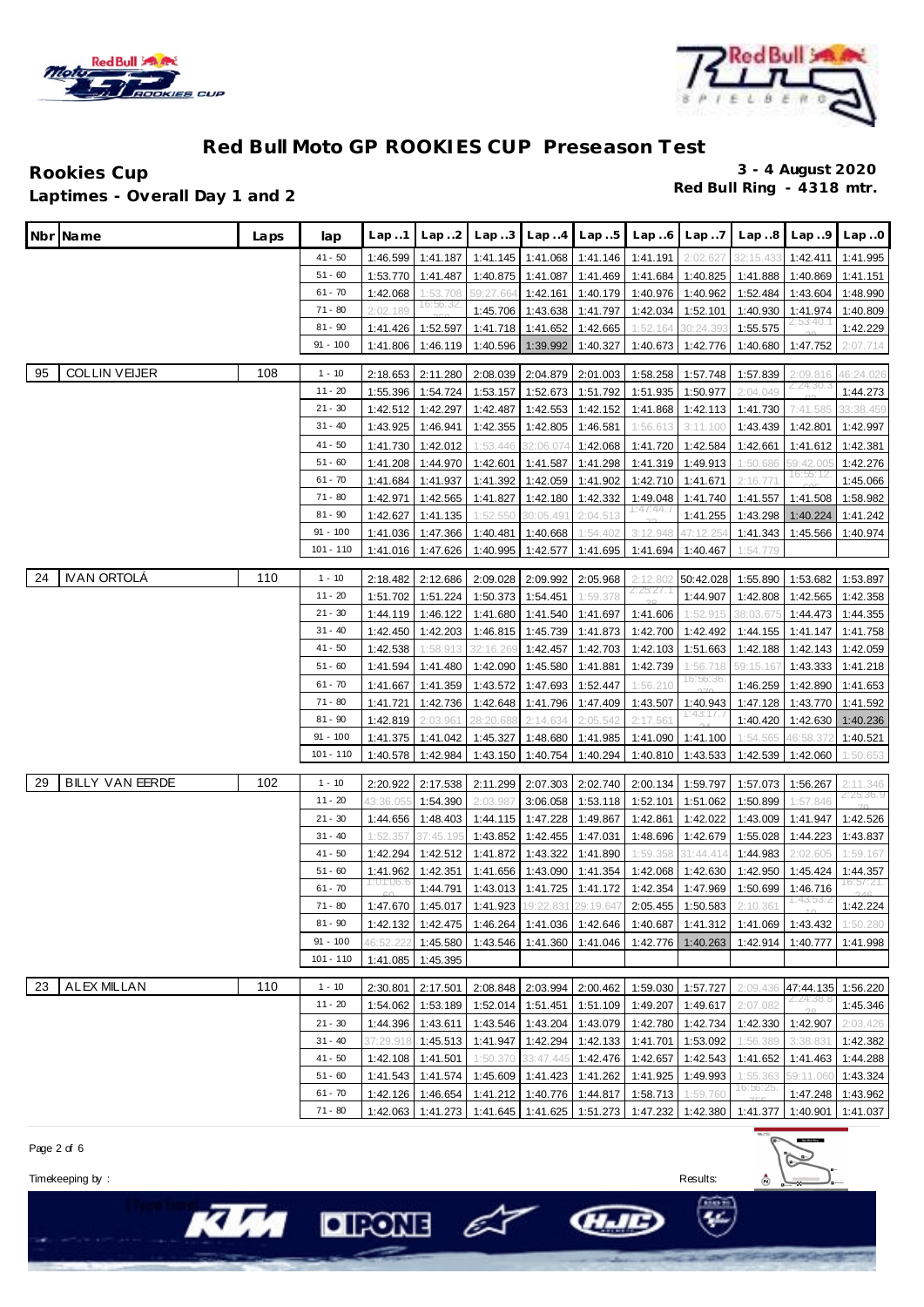



Rookies Cup<br>
1 antimes - Overall Day 1 and 2 **Red Bull Ring - 4318 mtr. Laptimes - Overall Day 1 and 2**

| Nbr Name                     | Laps | lap                       | Lap.1                 | Lap. .2              | Lap.3                                             | Lap.4                          | Lap.5                | Lap.6                | Lap.7                | Lap.8                | Lap.9                 | Lap.0                 |
|------------------------------|------|---------------------------|-----------------------|----------------------|---------------------------------------------------|--------------------------------|----------------------|----------------------|----------------------|----------------------|-----------------------|-----------------------|
|                              |      | $41 - 50$                 | 1:46.599              | 1:41.187             |                                                   | 1:41.145   1:41.068   1:41.146 |                      | 1:41.191             | 2:02.627             | 32:15.433            | 1:42.411              | 1:41.995              |
|                              |      | $51 - 60$                 | 1:53.770              | 1:41.487             | 1:40.875                                          | 1:41.087                       | 1:41.469             | 1:41.684             | 1:40.825             | 1:41.888             | 1:40.869              | 1:41.151              |
|                              |      | $61 - 70$                 | 1:42.068              | 1:53.708             | 59:27.664                                         | 1:42.161                       | 1:40.179             | 1:40.976             | 1:40.962             | 1:52.484             | 1:43.604              | 1:48.990              |
|                              |      | $71 - 80$                 | 2:02.189              | 16:56:32,            | 1:45.706                                          | 1:43.638                       | 1:41.797             | 1:42.034             | 1:52.101             | 1:40.930             | 1:41.974              | 1:40.809              |
|                              |      | $81 - 90$                 | 1:41.426              | 1:52.597             | 1:41.718                                          | 1:41.652                       | 1:42.665             | 1:52.164             | 30:24.390            | 1:55.575             |                       | 1:42.229              |
|                              |      | 91 - 100                  | 1:41.806              | 1:46.119             | 1:40.596                                          | 1:39.992                       | 1:40.327             | 1:40.673             | 1:42.776             | 1:40.680             | 1:47.752              | 2:07.714              |
| <b>COLLIN VEIJER</b><br>95   | 108  | $1 - 10$                  | 2:18.653              | 2:11.280             | 2:08.039                                          | 2:04.879                       | 2:01.003             | 1:58.258             | 1:57.748             | 1:57.839             | 2:09.816              | 46:24.026             |
|                              |      | 11 - 20                   | 1:55.396              | 1:54.724             | 1:53.157                                          | 1:52.673                       | 1:51.792             | 1:51.935             | 1:50.977             | 2:04.049             | 2124.30.3             | 1:44.273              |
|                              |      | $21 - 30$                 | 1:42.512              | 1:42.297             | 1:42.487                                          | 1:42.553                       | 1:42.152             | 1:41.868             | 1:42.113             | 1:41.730             | 7:41.585              | 33:38.459             |
|                              |      | $31 - 40$                 | 1:43.925              | 1:46.941             | 1:42.355                                          | 1:42.805                       | 1:46.581             | 1:56.613             | 3:11.100             | 1:43.439             | 1:42.801              | 1:42.997              |
|                              |      | $41 - 50$                 | 1:41.730              | 1:42.012             | 1:53.446                                          | 32:06.07                       | 1:42.068             | 1:41.720             | 1:42.584             | 1:42.661             | 1:41.612              | 1:42.381              |
|                              |      | $51 - 60$                 | 1:41.208              | 1:44.970             | 1:42.601                                          | 1:41.587                       | 1:41.298             | 1:41.319             | 1:49.913             | 1:50.686             | 59:42.00              | 1:42.276              |
|                              |      | $61 - 70$                 | 1:41.684              | 1:41.937             | 1:41.392                                          | 1:42.059                       | 1:41.902             | 1:42.710             | 1:41.671             | 2:16.77'             | 16:55:12              | 1:45.066              |
|                              |      | $71 - 80$                 | 1:42.971              | 1:42.565             | 1:41.827                                          | 1:42.180                       | 1:42.332             | 1:49.048             | 1:41.740             | 1:41.557             | 1:41.508              | 1:58.982              |
|                              |      | $81 - 90$                 | 1:42.627              | 1:41.135             | 1:52.55                                           | 30:05.49                       | 2:04.513             | 1:47:44.7            | 1:41.255             | 1:43.298             | 1:40.224              | 1:41.242              |
|                              |      | $91 - 100$                | 1:41.036              | 1:47.366             | 1:40.481                                          | 1:40.668                       | 1:54.402             | 3:12.948             | 47:12.254            | 1:41.343             | 1:45.566              | 1:40.974              |
|                              |      | 101 - 110                 | 1:41.016              | 1:47.626             | 1:40.995                                          | 1:42.577                       | 1:41.695             | 1:41.694             | 1:40.467             | 1:54.779             |                       |                       |
| <b>IVAN ORTOLA</b>           | 110  |                           |                       |                      |                                                   |                                |                      |                      |                      |                      |                       |                       |
| 24                           |      | $1 - 10$                  | 2:18.482              | 2:12.686             | 2:09.028                                          | 2:09.992                       | 2:05.968             | 2:12.80<br>2125.27   | 50:42.028            | 1:55.890             | 1:53.682              | 1:53.897              |
|                              |      | 11 - 20<br>$21 - 30$      | 1:51.702              | 1:51.224             | 1:50.373                                          | 1:54.451                       | 1:59.378             |                      | 1:44.907             | 1:42.808             | 1:42.565              | 1:42.358              |
|                              |      | $31 - 40$                 | 1:44.119              | 1:46.122             | 1:41.680                                          | 1:41.540                       | 1:41.697             | 1:41.606<br>1:42.700 | 1:52.915             | 38:03.67             | 1:44.473              | 1:44.355              |
|                              |      | $41 - 50$                 | 1:42.450<br>1:42.538  | 1:42.203<br>1:58.913 | 1:46.815<br>32:16.26                              | 1:45.739<br>1:42.457           | 1:41.873<br>1:42.703 | 1:42.103             | 1:42.492<br>1:51.663 | 1:44.155<br>1:42.188 | 1:41.147<br>1:42.143  | 1:41.758<br>1:42.059  |
|                              |      | $51 - 60$                 | 1:41.594              | 1:41.480             | 1:42.090                                          | 1:45.580                       | 1:41.881             | 1:42.739             | 1:56.718             | 59:15.167            | 1:43.333              | 1:41.218              |
|                              |      | $61 - 70$                 | 1:41.667              | 1:41.359             | 1:43.572                                          | 1:47.693                       | 1:52.447             | 1:56.210             | 16:56:36.            | 1:46.259             | 1:42.890              | 1:41.653              |
|                              |      | $71 - 80$                 | 1:41.721              | 1:42.736             | 1:42.648                                          | 1:41.796                       | 1:47.409             | 1:43.507             | 1:40.943             | 1:47.128             | 1:43.770              | 1:41.592              |
|                              |      | $81 - 90$                 | 1:42.819              | 2:03.96'             | 28:20.68                                          | 2:14.634                       | 2:05.542             | 2:17.561             | 1:43:17.7            | 1:40.420             | 1:42.630              | 1:40.236              |
|                              |      | $91 - 100$                | 1:41.375              | 1:41.042             | 1:45.327                                          | 1:48.680                       | 1:41.985             | 1:41.090             | 1:41.100             | 1:54.56              | 46:58.37              | 1:40.521              |
|                              |      | 101 - 110                 | 1:40.578              | 1:42.984             | 1:43.150                                          | 1:40.754                       | 1:40.294             | 1:40.810             | 1:43.533             | 1:42.539             | 1:42.060              | 1:50.653              |
|                              |      |                           |                       |                      |                                                   |                                |                      |                      |                      |                      |                       |                       |
| <b>BILLY VAN EERDE</b><br>29 | 102  | $1 - 10$                  | 2:20.922              | 2:17.538             | 2:11.299                                          | 2:07.303                       | 2:02.740             | 2:00.134             | 1:59.797             | 1:57.073             | 1:56.267              | 2:11.346<br>2:25:36.9 |
|                              |      | 11 - 20                   | 43:36.05              | 1:54.390             | 2:03.98                                           | 3:06.058                       | 1:53.118             | 1:52.101             | 1:51.062             | 1:50.899             | 1:57.846              |                       |
|                              |      | $21 - 30$                 | 1:44.656              | 1:48.403             | 1:44.115                                          | 1:47.228                       | 1:49.867             | 1:42.861             | 1:42.022             | 1:43.009             | 1:41.947              | 1:42.526              |
|                              |      | $31 - 40$                 | 1:52.35               | 7:45.19              | 1:43.852                                          | 1:42.455                       | 1:47.031             | 1:48.696             | 1:42.679             | 1:55.028             | 1:44.223              | 1:43.837              |
|                              |      | $41 - 50$                 | 1:42.294              | 1:42.512             | 1:41.872                                          | 1:43.322                       | 1:41.890             | 1:59.358             | 31:44.414            | 1:44.983             | 2:02.605              | 1:59.167              |
|                              |      | $51 - 60$                 | 1:41.962<br>1:01:06.6 | 1:42.351             | 1:41.656                                          | 1:43.090                       | 1:41.354             | 1:42.068             | 1:42.630             | 1:42.950             | 1:45.424              | 1:44.357<br>6:57:21.  |
|                              |      | $61 - 70$                 |                       | 1:44.791             | 1:43.013<br>1:41.923 19:22.831 29:19.647 2:05.455 |                                | 1:41.725 1:41.172    | 1:42.354             | 1:47.969             | 1:50.699<br>2:10.361 | 1:46.716<br>1:43.53.2 |                       |
|                              |      | $71 - 80$<br>$81 - 90$    |                       | 1:47.670 1:45.017    |                                                   |                                |                      |                      | 1:50.583             |                      |                       | 1:42.224              |
|                              |      |                           | 1:42.132              | 1:42.475             | 1:46.264                                          | 1:41.036                       | 1:42.646             | 1:40.687             | 1:41.312             | 1:41.069             | 1:43.432              | 1:50.280              |
|                              |      | $91 - 100$<br>$101 - 110$ | 46:52.22              | 1:45.580             | 1:43.546                                          | 1:41.360                       | 1:41.046             | 1:42.776             | 1:40.263             | 1:42.914             | 1:40.777              | 1:41.998              |
|                              |      |                           |                       | 1:41.085 1:45.395    |                                                   |                                |                      |                      |                      |                      |                       |                       |
| <b>ALEX MILLAN</b><br>23     | 110  | $1 - 10$                  | 2:30.801              | 2:17.501             | 2:08.848                                          |                                | 2:03.994 2:00.462    | 1:59.030             | 1:57.727             | 2:09.436             | 47:44.135             | 1:56.220              |
|                              |      | $11 - 20$                 | 1:54.062              | 1:53.189             | 1:52.014                                          | 1:51.451                       | 1:51.109             | 1:49.207             | 1:49.617             | 2:07.082             |                       | 1:45.346              |
|                              |      | $21 - 30$                 | 1:44.396              | 1:43.611             | 1:43.546                                          | 1:43.204                       | 1:43.079             | 1:42.780             | 1:42.734             | 1:42.330             | 1:42.907              | 2:03.426              |
|                              |      | $31 - 40$                 | 37:29.91              | 1:45.513             | 1:41.947                                          | 1:42.294                       | 1:42.133             | 1:41.701             | 1:53.092             | 1:56.389             | 3:38.83               | 1:42.382              |
|                              |      | $41 - 50$                 |                       | 1:42.108 1:41.501    | 1:50.370                                          | 33:47.445                      | 1:42.476             | 1:42.657             | 1:42.543             | 1:41.652             | 1:41.463              | 1:44.288              |
|                              |      | $51 - 60$                 | 1:41.543              | 1:41.574             | 1:45.609                                          |                                | 1:41.423 1:41.262    | 1:41.925             | 1:49.993             | 1:55.363             | 59:11.060             | 1:43.324              |
|                              |      | $61 - 70$                 | 1:42.126              | 1:46.654             | 1:41.212                                          | 1:40.776                       | 1:44.817             | 1:58.713             | 1:59.760             | 16:56:25             | 1:47.248              | 1:43.962              |
|                              |      | $71 - 80$                 | 1:42.063              | 1:41.273             | 1:41.645                                          |                                | 1:41.625 1:51.273    | 1:47.232             | 1:42.380             | 1:41.377             | 1:40.901              | 1:41.037              |

 $O$  For  $\epsilon$ 

Page 2 of 6

Timekeeping by : Results:

**KU** 

HIE

 $\frac{4}{N}$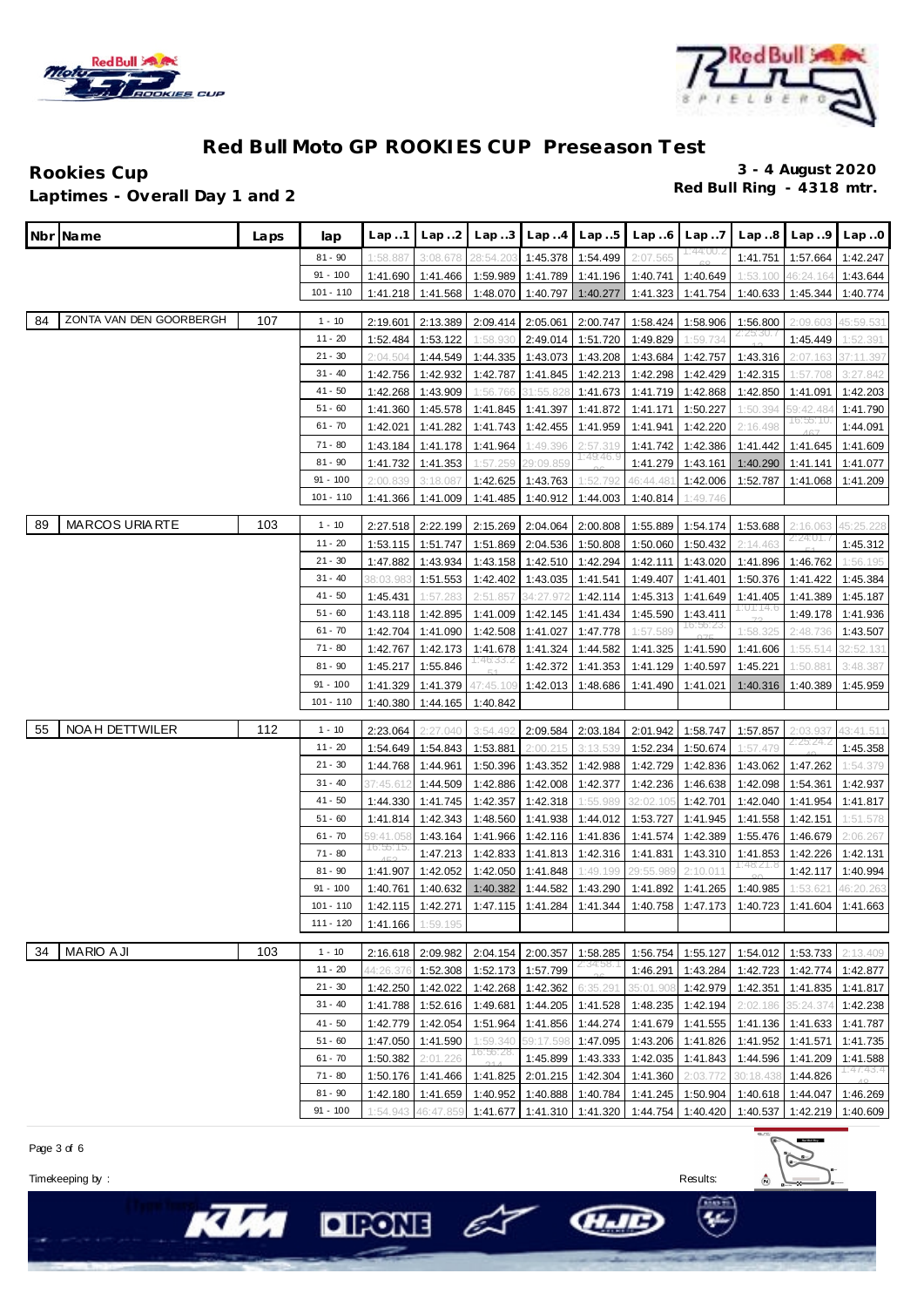



#### Rookies Cup<br>
1 antimes - Overall Day 1 and 2 **Red Bull Ring - 4318 mtr. Laptimes - Overall Day 1 and 2**

|    | Nbr Name                | Laps | lap         | Lap1      | Lap. .2           | Lap.3     | Lap.4     | Lap.5                        | Lap6      | Lap.7      | Lap.8                               | Lap.9                 | Lap.0     |
|----|-------------------------|------|-------------|-----------|-------------------|-----------|-----------|------------------------------|-----------|------------|-------------------------------------|-----------------------|-----------|
|    |                         |      | $81 - 90$   | 1:58.887  | 3:08.678          | 28:54.203 | 1:45.378  | 1:54.499                     | 2:07.565  | 11:44:UU.Z | 1:41.751                            | 1:57.664              | 1:42.247  |
|    |                         |      | $91 - 100$  | 1:41.690  | 1:41.466          | 1:59.989  | 1:41.789  | 1:41.196                     | 1:40.741  | 1:40.649   | 1:53.100                            | 46:24.164             | 1:43.644  |
|    |                         |      | $101 - 110$ | 1:41.218  | 1:41.568          | 1:48.070  | 1:40.797  | 1:40.277                     | 1:41.323  | 1:41.754   | 1:40.633                            | 1:45.344              | 1:40.774  |
|    |                         |      |             |           |                   |           |           |                              |           |            |                                     |                       |           |
| 84 | ZONTA VAN DEN GOORBERGH | 107  | $1 - 10$    | 2:19.601  | 2:13.389          | 2:09.414  | 2:05.061  | 2:00.747                     | 1:58.424  | 1:58.906   | 1:56.800                            | 2:09.603              | 45:59.531 |
|    |                         |      | 11 - 20     | 1:52.484  | 1:53.122          | 1:58.930  | 2:49.014  | 1:51.720                     | 1:49.829  | 1:59.734   |                                     | 1:45.449              | 1:52.391  |
|    |                         |      | $21 - 30$   | 2:04.504  | 1:44.549          | 1:44.335  | 1:43.073  | 1:43.208                     | 1:43.684  | 1:42.757   | 1:43.316                            | 2:07.163              | 37:11.397 |
|    |                         |      | $31 - 40$   | 1:42.756  | 1:42.932          | 1:42.787  | 1:41.845  | 1:42.213                     | 1:42.298  | 1:42.429   | 1:42.315                            | 1:57.708              | 3:27.842  |
|    |                         |      | 41 - 50     | 1:42.268  | 1:43.909          | 1:56.766  | 31:55.82  | 1:41.673                     | 1:41.719  | 1:42.868   | 1:42.850                            | 1:41.091              | 1:42.203  |
|    |                         |      | $51 - 60$   | 1:41.360  | 1:45.578          | 1:41.845  | 1:41.397  | 1:41.872                     | 1:41.171  | 1:50.227   | 1:50.394                            | 59:42.484<br>16:55:10 | 1:41.790  |
|    |                         |      | $61 - 70$   | 1:42.021  | 1:41.282          | 1:41.743  | 1:42.455  | 1:41.959                     | 1:41.941  | 1:42.220   | 2:16.498                            |                       | 1:44.091  |
|    |                         |      | $71 - 80$   | 1:43.184  | 1:41.178          | 1:41.964  | 1:49.396  | 2:57.319<br>1:49:46.9        | 1:41.742  | 1:42.386   | 1:41.442                            | 1:41.645              | 1:41.609  |
|    |                         |      | $81 - 90$   | 1:41.732  | 1:41.353          | 1:57.259  | 29:09.85! |                              | 1:41.279  | 1:43.161   | 1:40.290                            | 1:41.141              | 1:41.077  |
|    |                         |      | $91 - 100$  | 2:00.839  | 3:18.087          | 1:42.625  | 1:43.763  | 1:52.792                     | 46:44.48  | 1:42.006   | 1:52.787                            | 1:41.068              | 1:41.209  |
|    |                         |      | $101 - 110$ | 1:41.366  | 1:41.009          | 1:41.485  | 1:40.912  | 1:44.003                     | 1:40.814  | 1:49.746   |                                     |                       |           |
| 89 | <b>MARCOS URIARTE</b>   | 103  | $1 - 10$    | 2:27.518  | 2:22.199          | 2:15.269  | 2:04.064  | 2:00.808                     | 1:55.889  | 1:54.174   | 1:53.688                            | 2:16.063              | 45:25.228 |
|    |                         |      | 11 - 20     | 1:53.115  | 1:51.747          | 1:51.869  | 2:04.536  | 1:50.808                     | 1:50.060  | 1:50.432   | 2:14.463                            | 2.24.01.              | 1:45.312  |
|    |                         |      | $21 - 30$   | 1:47.882  | 1:43.934          | 1:43.158  | 1:42.510  | 1:42.294                     | 1:42.111  | 1:43.020   | 1:41.896                            | 1:46.762              | 1:56.195  |
|    |                         |      | $31 - 40$   | 38:03.98  | 1:51.553          | 1:42.402  | 1:43.035  | 1:41.541                     | 1:49.407  | 1:41.401   | 1:50.376                            | 1:41.422              | 1:45.384  |
|    |                         |      | 41 - 50     | 1:45.431  | 1:57.283          | 2:51.857  | 34:27.97  | 1:42.114                     | 1:45.313  | 1:41.649   | 1:41.405                            | 1:41.389              | 1:45.187  |
|    |                         |      | $51 - 60$   | 1:43.118  | 1:42.895          | 1:41.009  | 1:42.145  | 1:41.434                     | 1:45.590  | 1:43.411   | 1:01:14.                            | 1:49.178              | 1:41.936  |
|    |                         |      | $61 - 70$   | 1:42.704  | 1:41.090          | 1:42.508  | 1:41.027  | 1:47.778                     | 1:57.589  | 16:56:23   | 1:58.325                            | 2:48.736              | 1:43.507  |
|    |                         |      | $71 - 80$   | 1:42.767  | 1:42.173          | 1:41.678  | 1:41.324  | 1:44.582                     | 1:41.325  | 1:41.590   | 1:41.606                            | 1:55.514              | 32:52.131 |
|    |                         |      | $81 - 90$   | 1:45.217  | 1:55.846          | I∶46.33.∠ | 1:42.372  | 1:41.353                     | 1:41.129  | 1:40.597   | 1:45.221                            | 1:50.881              | 3:48.387  |
|    |                         |      | $91 - 100$  | 1:41.329  | 1:41.379          | 47:45.109 | 1:42.013  | 1:48.686                     | 1:41.490  | 1:41.021   | 1:40.316                            | 1:40.389              | 1:45.959  |
|    |                         |      | 101 - 110   | 1:40.380  | 1:44.165          | 1:40.842  |           |                              |           |            |                                     |                       |           |
| 55 | NOA H DETTWILER         | 112  | $1 - 10$    | 2:23.064  | 2:27.040          | 3:54.492  | 2:09.584  | 2:03.184                     | 2:01.942  | 1:58.747   | 1:57.857                            | 2:03.93               | 43:41.511 |
|    |                         |      | 11 - 20     | 1:54.649  | 1:54.843          | 1:53.881  | 2:00.215  | 3:13.539                     | 1:52.234  | 1:50.674   | 1:57.479                            | 2.25.24.z             | 1:45.358  |
|    |                         |      | $21 - 30$   | 1:44.768  | 1:44.961          | 1:50.396  | 1:43.352  | 1:42.988                     | 1:42.729  | 1:42.836   | 1:43.062                            | 1:47.262              | 1:54.379  |
|    |                         |      | $31 - 40$   | 7:45.61   | 1:44.509          | 1:42.886  | 1:42.008  | 1:42.377                     | 1:42.236  | 1:46.638   | 1:42.098                            | 1:54.361              | 1:42.937  |
|    |                         |      | 41 - 50     | 1:44.330  | 1:41.745          | 1:42.357  | 1:42.318  | 1:55.989                     | 32:02.10! | 1:42.701   | 1:42.040                            | 1:41.954              | 1:41.817  |
|    |                         |      | $51 - 60$   | 1:41.814  | 1:42.343          | 1:48.560  | 1:41.938  | 1:44.012                     | 1:53.727  | 1:41.945   | 1:41.558                            | 1:42.151              | 1:51.578  |
|    |                         |      | $61 - 70$   | 59:41.058 | 1:43.164          | 1:41.966  | 1:42.116  | 1:41.836                     | 1:41.574  | 1:42.389   | 1:55.476                            | 1:46.679              | 2:06.267  |
|    |                         |      | $71 - 80$   | 16:55:15  | 1:47.213          | 1:42.833  | 1:41.813  | 1:42.316                     | 1:41.831  | 1:43.310   | 1:41.853                            | 1:42.226              | 1:42.131  |
|    |                         |      | $81 - 90$   | 1:41.907  | 1:42.052          | 1:42.050  | 1:41.848  | 1:49.199                     | 29:55.989 | 2:10.011   | 1:48:21.8                           | 1:42.117              | 1:40.994  |
|    |                         |      | $91 - 100$  | 1:40.761  | 1:40.632          | 1:40.382  | 1:44.582  | 1:43.290                     | 1:41.892  | 1:41.265   | 1:40.985                            | 1:53.621              | 46:20.263 |
|    |                         |      | $101 - 110$ | 1:42.115  | 1:42.271          |           |           | 1:47.115  1:41.284  1:41.344 | 1:40.758  |            | 1:47.173 1:40.723 1:41.604 1:41.663 |                       |           |
|    |                         |      | 111 - 120   | 1:41.166  | 1:59.195          |           |           |                              |           |            |                                     |                       |           |
| 34 | <b>MARIO AJI</b>        | 103  | $1 - 10$    |           | 2:16.618 2:09.982 | 2:04.154  | 2:00.357  | 1:58.285                     | 1:56.754  | 1:55.127   |                                     | 1:54.012 1:53.733     | 2:13.409  |
|    |                         |      | $11 - 20$   | 14:26.376 | 1:52.308          | 1:52.173  | 1:57.799  | 21341.58.                    | 1:46.291  | 1:43.284   | 1:42.723                            | 1:42.774              | 1:42.877  |
|    |                         |      | $21 - 30$   | 1:42.250  | 1:42.022          | 1:42.268  | 1:42.362  | 6:35.29                      | 35:01.908 | 1:42.979   | 1:42.351                            | 1:41.835              | 1:41.817  |
|    |                         |      | $31 - 40$   | 1:41.788  | 1:52.616          | 1:49.681  | 1:44.205  | 1:41.528                     | 1:48.235  | 1:42.194   | 2:02.186                            | 35:24.374             | 1:42.238  |
|    |                         |      | $41 - 50$   | 1:42.779  | 1:42.054          | 1:51.964  | 1:41.856  | 1:44.274                     | 1:41.679  | 1:41.555   |                                     | 1:41.136 1:41.633     | 1:41.787  |
|    |                         |      | $51 - 60$   | 1:47.050  | 1:41.590          | 1:59.340  | 59:17.598 | 1:47.095                     | 1:43.206  | 1:41.826   | 1:41.952 1:41.571                   |                       | 1:41.735  |
|    |                         |      | $61 - 70$   | 1:50.382  | 2:01.226          | 16:56:28. | 1:45.899  | 1:43.333                     | 1:42.035  | 1:41.843   | 1:44.596                            | 1:41.209              | 1:41.588  |
|    |                         |      | 71 - 80     | 1:50.176  | 1:41.466          | 1:41.825  | 2:01.215  | 1:42.304                     | 1:41.360  | 2:03.772   | 30:18.438                           | 1:44.826              | 1:47:43.4 |
|    |                         |      | $81 - 90$   | 1:42.180  | 1:41.659          | 1:40.952  |           | 1:40.888 1:40.784            | 1:41.245  | 1:50.904   | 1:40.618                            | 1:44.047              | 1:46.269  |
|    |                         |      | $91 - 100$  | 1:54.943  | 46:47.859         |           |           | 1:41.677 1:41.310 1:41.320   | 1:44.754  |            | 1:40.420 1:40.537 1:42.219 1:40.609 |                       |           |

 $O$  FONE  $\epsilon$ 



Timekeeping by : Results:

KIA

 $\approx$  $\hat{z}$ 

GLIE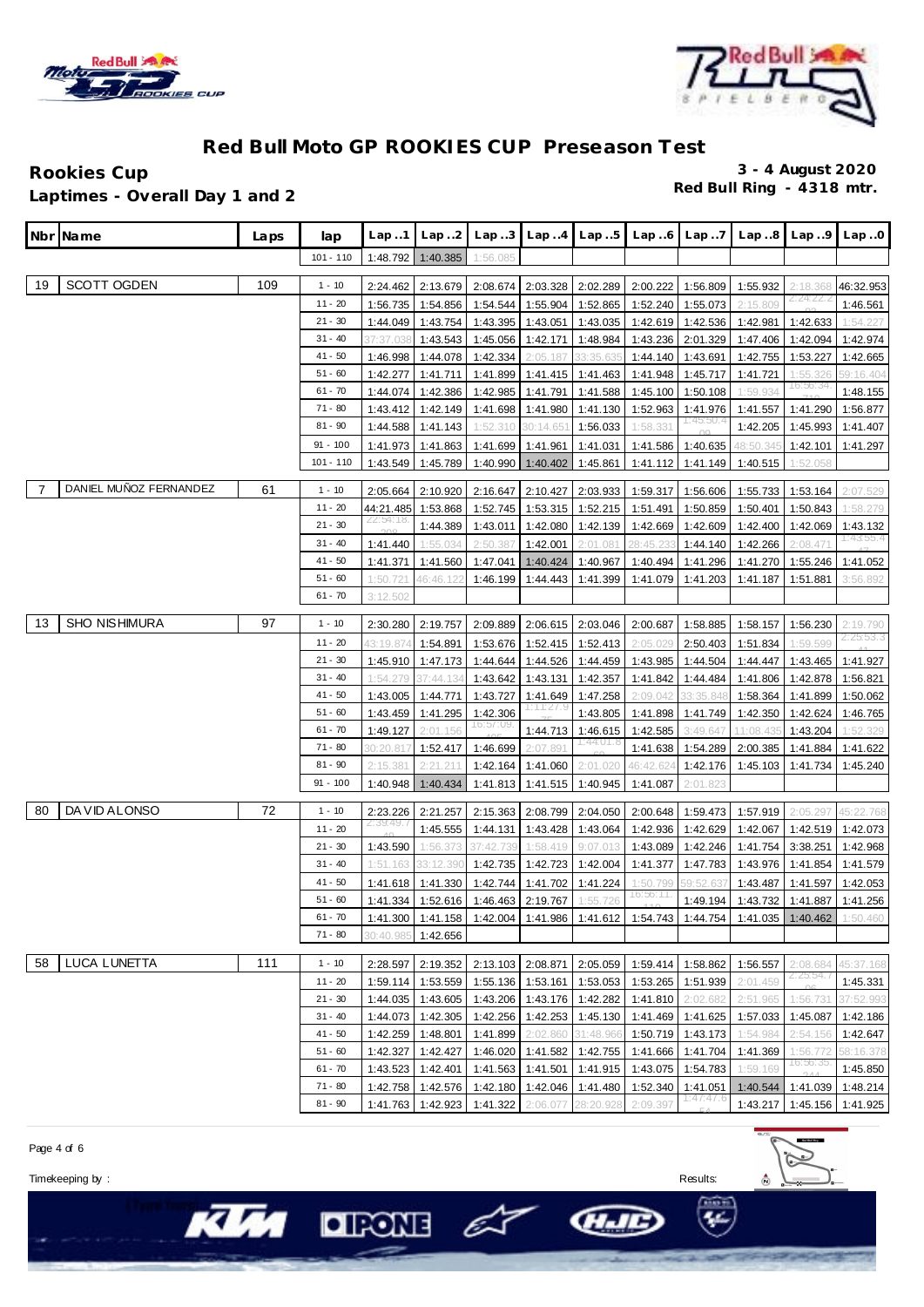



Rookies Cup 3 - 4 August 2020<br> **Red Bull Ring** - 4318 mtr. **Red Bull Ring - 4318 mtr. Laptimes - Overall Day 1 and 2**

|    | Nbr Name               | Laps | lap         | Lap1                  | Lap.2     | Lap.3                               | Lap.4                       | Lap.5                      | Lap.6                 | Lap.7             | Lap.8                                                                                     | Lap.9     | Lap.0     |
|----|------------------------|------|-------------|-----------------------|-----------|-------------------------------------|-----------------------------|----------------------------|-----------------------|-------------------|-------------------------------------------------------------------------------------------|-----------|-----------|
|    |                        |      | $101 - 110$ | 1:48.792              | 1:40.385  | 1:56.085                            |                             |                            |                       |                   |                                                                                           |           |           |
| 19 | <b>SCOTT OGDEN</b>     | 109  | $1 - 10$    | 2:24.462              | 2:13.679  | 2:08.674                            | 2:03.328                    | 2:02.289                   | 2:00.222              | 1:56.809          | 1:55.932                                                                                  | 2:18.368  | 46:32.953 |
|    |                        |      | $11 - 20$   | 1:56.735              | 1:54.856  | 1:54.544                            | 1:55.904                    | 1:52.865                   | 1:52.240              | 1:55.073          | 2:15.809                                                                                  | 2124. ZZ. | 1:46.561  |
|    |                        |      | $21 - 30$   | 1:44.049              | 1:43.754  | 1:43.395                            | 1:43.051                    | 1:43.035                   | 1:42.619              | 1:42.536          | 1:42.981                                                                                  | 1:42.633  | 1:54.227  |
|    |                        |      | $31 - 40$   | 37:37.03              | 1:43.543  | 1:45.056                            | 1:42.171                    | 1:48.984                   | 1:43.236              | 2:01.329          | 1:47.406                                                                                  | 1:42.094  | 1:42.974  |
|    |                        |      | $41 - 50$   | 1:46.998              | 1:44.078  | 1:42.334                            | 2:05.187                    | 33:35.635                  | 1:44.140              | 1:43.691          | 1:42.755                                                                                  | 1:53.227  | 1:42.665  |
|    |                        |      | $51 - 60$   | 1:42.277              | 1:41.711  | 1:41.899                            | 1:41.415                    | 1:41.463                   | 1:41.948              | 1:45.717          | 1:41.721                                                                                  | 1:55.326  | 59:16.404 |
|    |                        |      | $61 - 70$   | 1:44.074              | 1:42.386  | 1:42.985                            | 1:41.791                    | 1:41.588                   | 1:45.100              | 1:50.108          | 1:59.934                                                                                  | 16:56:34  | 1:48.155  |
|    |                        |      | $71 - 80$   | 1:43.412              | 1:42.149  | 1:41.698                            | 1:41.980                    | 1:41.130                   | 1:52.963              | 1:41.976          | 1:41.557                                                                                  | 1:41.290  | 1:56.877  |
|    |                        |      | $81 - 90$   | 1:44.588              | 1:41.143  | 1:52.310                            | 30:14.651                   | 1:56.033                   | 1:58.331              | 11:45:50.4        | 1:42.205                                                                                  | 1:45.993  | 1:41.407  |
|    |                        |      | $91 - 100$  | 1:41.973              | 1:41.863  | 1:41.699                            | 1:41.961                    | 1:41.031                   | 1:41.586              | 1:40.635          | 48:50.34                                                                                  | 1:42.101  | 1:41.297  |
|    |                        |      | 101 - 110   | 1:43.549              | 1:45.789  | 1:40.990                            | 1:40.402                    | 1:45.861                   | 1:41.112              | 1:41.149          | 1:40.515                                                                                  | 1:52.058  |           |
|    |                        |      |             |                       |           |                                     |                             |                            |                       |                   |                                                                                           |           |           |
| 7  | DANIEL MUÑOZ FERNANDEZ | 61   | $1 - 10$    | 2:05.664              | 2:10.920  | 2:16.647                            | 2:10.427                    | 2:03.933                   | 1:59.317              | 1:56.606          | 1:55.733                                                                                  | 1:53.164  | 2:07.529  |
|    |                        |      | $11 - 20$   | 44:21.485<br>22:54:18 | 1:53.868  | 1:52.745                            | 1:53.315                    | 1:52.215                   | 1:51.491              | 1:50.859          | 1:50.401                                                                                  | 1:50.843  | 1:58.279  |
|    |                        |      | $21 - 30$   |                       | 1:44.389  | 1:43.011                            | 1:42.080                    | 1:42.139                   | 1:42.669              | 1:42.609          | 1:42.400                                                                                  | 1:42.069  | 1:43.132  |
|    |                        |      | $31 - 40$   | 1:41.440              | 1:55.034  | 2:50.387                            | 1:42.001                    | 2:01.081                   | 28:45.23              | 1:44.140          | 1:42.266                                                                                  | 2:08.471  | 1:43:55.4 |
|    |                        |      | $41 - 50$   | 1:41.371              | 1:41.560  | 1:47.041                            | 1:40.424                    | 1:40.967                   | 1:40.494              | 1:41.296          | 1:41.270                                                                                  | 1:55.246  | 1:41.052  |
|    |                        |      | $51 - 60$   | 1:50.721              | 46:46.122 | 1:46.199                            | 1:44.443                    | 1:41.399                   | 1:41.079              | 1:41.203          | 1:41.187                                                                                  | 1:51.881  | 3:56.892  |
|    |                        |      | $61 - 70$   | 3:12.502              |           |                                     |                             |                            |                       |                   |                                                                                           |           |           |
| 13 | <b>SHO NISHIMURA</b>   | 97   | $1 - 10$    | 2:30.280              | 2:19.757  | 2:09.889                            | 2:06.615                    | 2:03.046                   | 2:00.687              | 1:58.885          | 1:58.157                                                                                  | 1:56.230  | 2:19.790  |
|    |                        |      | $11 - 20$   | 43:19.87              | 1:54.891  | 1:53.676                            | 1:52.415                    | 1:52.413                   | 2:05.029              | 2:50.403          | 1:51.834                                                                                  | 1:59.599  | 2:25:53.3 |
|    |                        |      | $21 - 30$   | 1:45.910              | 1:47.173  | 1:44.644                            | 1:44.526                    | 1:44.459                   | 1:43.985              | 1:44.504          | 1:44.447                                                                                  | 1:43.465  | 1:41.927  |
|    |                        |      | $31 - 40$   | 1:54.279              | 37:44.134 | 1:43.642                            | 1:43.131                    | 1:42.357                   | 1:41.842              | 1:44.484          | 1:41.806                                                                                  | 1:42.878  | 1:56.821  |
|    |                        |      | 41 - 50     | 1:43.005              | 1:44.771  | 1:43.727                            | 1:41.649                    | 1:47.258                   | 2:09.042              | 33:35.848         | 1:58.364                                                                                  | 1:41.899  | 1:50.062  |
|    |                        |      | $51 - 60$   | 1:43.459              | 1:41.295  | 1:42.306                            | 1:11:27.1                   | 1:43.805                   | 1:41.898              | 1:41.749          | 1:42.350                                                                                  | 1:42.624  | 1:46.765  |
|    |                        |      | $61 - 70$   | 1:49.127              | 2:01.156  | 16:57:09                            | 1:44.713                    | 1:46.615                   | 1:42.585              | 3:49.647          | 11:08.43                                                                                  | 1:43.204  | 1:52.329  |
|    |                        |      | $71 - 80$   | 30:20.81              | 1:52.417  | 1:46.699                            | 2:07.89'                    | 1:44:01.8                  | 1:41.638              | 1:54.289          | 2:00.385                                                                                  | 1:41.884  | 1:41.622  |
|    |                        |      | $81 - 90$   | 2:15.381              | 2:21.211  | 1:42.164                            | 1:41.060                    | 2:01.020                   | 46:42.624             | 1:42.176          | 1:45.103                                                                                  | 1:41.734  | 1:45.240  |
|    |                        |      | $91 - 100$  | 1:40.948              | 1:40.434  | 1:41.813                            | 1:41.515                    | 1:40.945                   | 1:41.087              | 2:01.823          |                                                                                           |           |           |
|    |                        |      |             |                       |           |                                     |                             |                            |                       |                   |                                                                                           |           |           |
| 80 | DA VID ALONSO          | 72   | $1 - 10$    | 2:23.226<br>2:39:49.  | 2:21.257  | 2:15.363                            | 2:08.799                    | 2:04.050                   | 2:00.648              | 1:59.473          | 1:57.919                                                                                  | 2:05.297  | 45:22.768 |
|    |                        |      | $11 - 20$   |                       | 1:45.555  | 1:44.131                            | 1:43.428                    | 1:43.064                   | 1:42.936              | 1:42.629          | 1:42.067                                                                                  | 1:42.519  | 1:42.073  |
|    |                        |      | $21 - 30$   | 1:43.590              | 1:56.373  | 37:42.739                           | 1:58.419                    | 9:07.013                   | 1:43.089              | 1:42.246          | 1:41.754                                                                                  | 3:38.251  | 1:42.968  |
|    |                        |      | $31 - 40$   | 1:51.163              | 33:12.390 | 1:42.735                            | 1:42.723                    | 1:42.004                   | 1:41.377              | 1:47.783          | 1:43.976                                                                                  | 1:41.854  | 1:41.579  |
|    |                        |      | 41 - 50     | 1:41.618              | 1:41.330  | 1:42.744                            | 1:41.702                    | 1:41.224                   | 1:50.799<br>16:56:11. | 59:52             | 1:43.487                                                                                  | 1:41.597  | 1:42.053  |
|    |                        |      | $51 - 60$   | 1:41.334              | 1:52.616  | 1:46.463 2:19.767 1:55.726          |                             |                            |                       | 1:49.194          | 1:43.732                                                                                  | 1:41.887  | 1:41.256  |
|    |                        |      | $61 - 70$   |                       |           |                                     |                             |                            |                       |                   | 1:41.300 1:41.158 1:42.004 1:41.986 1:41.612 1:54.743 1:44.754 1:41.035 1:40.462 1:50.460 |           |           |
|    |                        |      | $71 - 80$   | 30:40.985             | 1:42.656  |                                     |                             |                            |                       |                   |                                                                                           |           |           |
| 58 | LUCA LUNETTA           | 111  | $1 - 10$    | 2:28.597              | 2:19.352  |                                     |                             | 2:13.103 2:08.871 2:05.059 |                       | 1:59.414 1:58.862 | 1:56.557                                                                                  | 2:08.684  | 45:37.168 |
|    |                        |      | $11 - 20$   | 1:59.114              | 1:53.559  | 1:55.136 1:53.161 1:53.053          |                             |                            |                       | 1:53.265 1:51.939 | 2:01.459                                                                                  | 2:25:54.7 | 1:45.331  |
|    |                        |      | $21 - 30$   | 1:44.035              | 1:43.605  | 1:43.206 1:43.176 1:42.282          |                             |                            | 1:41.810              | 2:02.682          | 2:51.965                                                                                  | 1:56.731  | 37:52.993 |
|    |                        |      | $31 - 40$   | 1:44.073              | 1:42.305  |                                     | 1:42.256 1:42.253           | 1:45.130                   |                       | 1:41.469 1:41.625 | 1:57.033                                                                                  | 1:45.087  | 1:42.186  |
|    |                        |      | $41 - 50$   | 1:42.259              | 1:48.801  | 1:41.899                            | 2:02.860                    | 31:48.966                  |                       | 1:50.719 1:43.173 | 1:54.984                                                                                  | 2:54.156  | 1:42.647  |
|    |                        |      | $51 - 60$   | 1:42.327              | 1:42.427  |                                     |                             | 1:46.020 1:41.582 1:42.755 |                       | 1:41.666 1:41.704 | 1:41.369                                                                                  | 1:56.772  | 58:16.378 |
|    |                        |      | $61 - 70$   | 1:43.523              | 1:42.401  |                                     |                             | 1:41.563 1:41.501 1:41.915 | 1:43.075              | 1:54.783          | 1:59.169                                                                                  | 16:56:35. | 1:45.850  |
|    |                        |      | $71 - 80$   | 1:42.758              |           | 1:42.576 1:42.180 1:42.046 1:41.480 |                             |                            | 1:52.340              | 1:41.051          | 1:40.544                                                                                  | 1:41.039  | 1:48.214  |
|    |                        |      | $81 - 90$   | 1:41.763              | 1:42.923  |                                     | 1:41.322 2:06.077 28:20.928 |                            | 2:09.397              | 1:47:47.6         | 1:43.217                                                                                  | 1:45.156  | 1:41.925  |

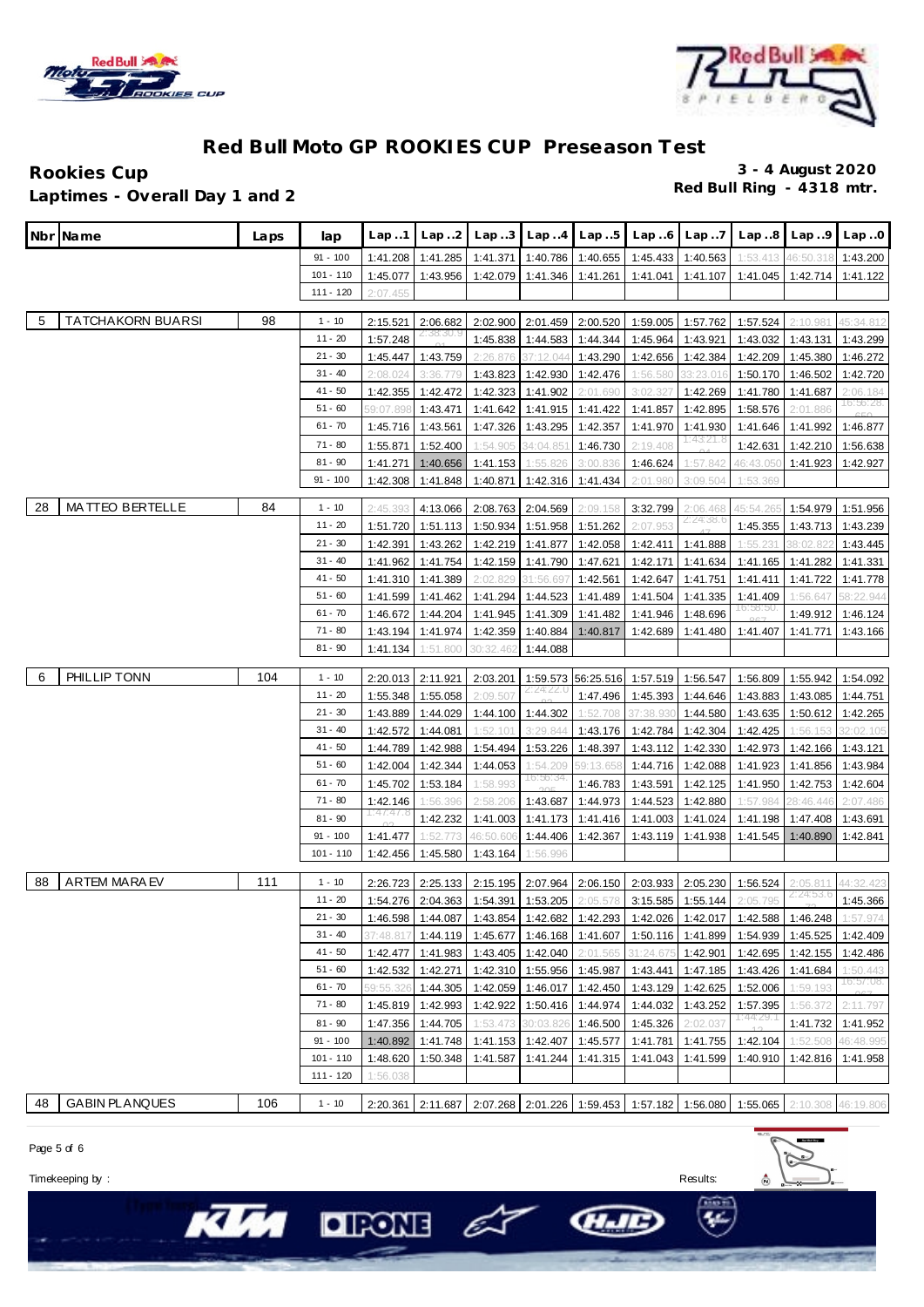



**Rookies Cup 3 - 4 August 2020 Red Bull Ring - 4318 mtr. Laptimes - Overall Day 1 and 2**

| Nbr Name                        | Laps | lap         | Lap1                 | Lap. .2              | Lap.3                                                                                      | Lap.4     | Lap.5                      | Lap.6     | Lap.7                 | Lap.8     | Lap9                 | Lap.0                 |
|---------------------------------|------|-------------|----------------------|----------------------|--------------------------------------------------------------------------------------------|-----------|----------------------------|-----------|-----------------------|-----------|----------------------|-----------------------|
|                                 |      | $91 - 100$  | 1:41.208             | 1:41.285             | 1:41.371                                                                                   |           | 1:40.786 1:40.655          | 1:45.433  | 1:40.563              | 1:53.413  | 46:50.               | 1:43.200              |
|                                 |      | $101 - 110$ | 1:45.077             | 1:43.956             | 1:42.079                                                                                   | 1:41.346  | 1:41.261                   | 1:41.041  | 1:41.107              | 1:41.045  | 1:42.714             | 1:41.122              |
|                                 |      | 111 - 120   | 2:07.455             |                      |                                                                                            |           |                            |           |                       |           |                      |                       |
|                                 |      |             |                      |                      |                                                                                            |           |                            |           |                       |           |                      |                       |
| <b>TATCHAKORN BUARSI</b><br>- 5 | 98   | $1 - 10$    | 2:15.521             | 2:06.682<br>2138130. | 2:02.900                                                                                   | 2:01.459  | 2:00.520                   | 1:59.005  | 1:57.762              | 1:57.524  | 2:10.98 <sup>4</sup> | 45:34.812             |
|                                 |      | $11 - 20$   | 1:57.248             |                      | 1:45.838                                                                                   | 1:44.583  | 1:44.344                   | 1:45.964  | 1:43.921              | 1:43.032  | 1:43.131             | 1:43.299              |
|                                 |      | $21 - 30$   | 1:45.447             | 1:43.759             | 2:26.876                                                                                   | 37:12.044 | 1:43.290                   | 1:42.656  | 1:42.384              | 1:42.209  | 1:45.380             | 1:46.272              |
|                                 |      | $31 - 40$   | 2:08.024             | 3:36.779             | 1:43.823                                                                                   | 1:42.930  | 1:42.476                   | 1:56.580  | 33:23.016             | 1:50.170  | 1:46.502             | 1:42.720              |
|                                 |      | $41 - 50$   | 1:42.355             | 1:42.472             | 1:42.323                                                                                   | 1:41.902  | 2:01.690                   | 3:02.327  | 1:42.269              | 1:41.780  | 1:41.687             | 2:06.184<br>16:56:28. |
|                                 |      | $51 - 60$   | 59:07.89             | 1:43.471             | 1:41.642                                                                                   | 1:41.915  | 1:41.422                   | 1:41.857  | 1:42.895              | 1:58.576  | 2:01.886             |                       |
|                                 |      | $61 - 70$   | 1:45.716             | 1:43.561             | 1:47.326                                                                                   | 1:43.295  | 1:42.357                   | 1:41.970  | 1:41.930<br>1:43:21.8 | 1:41.646  | 1:41.992             | 1:46.877              |
|                                 |      | $71 - 80$   | 1:55.871             | 1:52.400             | 1:54.905                                                                                   | 34:04.85  | 1:46.730                   | 2:19.408  |                       | 1:42.631  | 1:42.210             | 1:56.638              |
|                                 |      | 81 - 90     | 1:41.271             | 1:40.656             | 1:41.153                                                                                   | 1:55.826  | 3:00.836                   | 1:46.624  | 1:57.842              | 46:43.05  | 1:41.923             | 1:42.927              |
|                                 |      | 91 - 100    | 1:42.308             | 1:41.848             | 1:40.871                                                                                   | 1:42.316  | 1:41.434                   | 2:01.980  | 3:09.504              | 1:53.369  |                      |                       |
| MATTEO BERTELLE<br>28           | 84   | $1 - 10$    | 2:45.393             | 4:13.066             | 2:08.763                                                                                   | 2:04.569  | 2:09.158                   | 3:32.799  | 2:06.468              | 45:54.26  | 1:54.979             | 1:51.956              |
|                                 |      | $11 - 20$   | 1:51.720             | 1:51.113             | 1:50.934                                                                                   | 1:51.958  | 1:51.262                   | 2:07.953  | 2:24:38.6             | 1:45.355  | 1:43.713             | 1:43.239              |
|                                 |      | $21 - 30$   | 1:42.391             | 1:43.262             | 1:42.219                                                                                   | 1:41.877  | 1:42.058                   | 1:42.411  | 1:41.888              | 1:55.23   | 38:02.82             | 1:43.445              |
|                                 |      | $31 - 40$   | 1:41.962             | 1:41.754             | 1:42.159                                                                                   |           | 1:41.790 1:47.621          | 1:42.171  | 1:41.634              | 1:41.165  | 1:41.282             | 1:41.331              |
|                                 |      | $41 - 50$   | 1:41.310             | 1:41.389             | 2:02.829                                                                                   | 31:56.697 | 1:42.561                   | 1:42.647  | 1:41.751              | 1:41.411  | 1:41.722             | 1:41.778              |
|                                 |      | $51 - 60$   | 1:41.599             | 1:41.462             | 1:41.294                                                                                   | 1:44.523  | 1:41.489                   | 1:41.504  | 1:41.335              | 1:41.409  | 1:56.647             | 58:22.944             |
|                                 |      | 61 - 70     | 1:46.672             | 1:44.204             | 1:41.945                                                                                   | 1:41.309  | 1:41.482                   | 1:41.946  | 1:48.696              |           | 1:49.912             | 1:46.124              |
|                                 |      | $71 - 80$   | 1:43.194             | 1:41.974             | 1:42.359                                                                                   | 1:40.884  | 1:40.817                   | 1:42.689  | 1:41.480              | 1:41.407  | 1:41.771             | 1:43.166              |
|                                 |      | 81 - 90     | 1:41.134             | 1:51.800             | 30:32.46                                                                                   | 1:44.088  |                            |           |                       |           |                      |                       |
|                                 |      |             |                      |                      |                                                                                            |           |                            |           |                       |           |                      |                       |
| PHILLIP TONN<br>- 6             | 104  | $1 - 10$    | 2:20.013             | 2:11.921             | 2:03.201                                                                                   |           | 1:59.573 56:25.516         | 1:57.519  | 1:56.547              | 1:56.809  | 1:55.942             | 1:54.092              |
|                                 |      | 11 - 20     | 1:55.348             | 1:55.058             | 2:09.50                                                                                    |           | 1:47.496                   | 1:45.393  | 1:44.646              | 1:43.883  | 1:43.085             | 1:44.751              |
|                                 |      | $21 - 30$   | 1:43.889             | 1:44.029             | 1:44.100                                                                                   | 1:44.302  | 1:52.708                   | 37:38.93  | 1:44.580              | 1:43.635  | 1:50.612             | 1:42.265              |
|                                 |      | $31 - 40$   | 1:42.572             | 1:44.081             | 1:52.10                                                                                    | 3:29.844  | 1:43.176                   | 1:42.784  | 1:42.304              | 1:42.425  | 1:56.153             | 32:02.105             |
|                                 |      | $41 - 50$   | 1:44.789             | 1:42.988             | 1:54.494                                                                                   | 1:53.226  | 1:48.397                   | 1:43.112  | 1:42.330              | 1:42.973  | 1:42.166             | 1:43.121              |
|                                 |      | $51 - 60$   | 1:42.004             | 1:42.344             | 1:44.053                                                                                   | 1:54.209  | 59:13.658                  | 1:44.716  | 1:42.088              | 1:41.923  | 1:41.856             | 1:43.984              |
|                                 |      | $61 - 70$   | 1:45.702             | 1:53.184             | 1:58.993                                                                                   | 16:56:34  | 1:46.783                   | 1:43.591  | 1:42.125              | 1:41.950  | 1:42.753             | 1:42.604              |
|                                 |      | $71 - 80$   | 1:42.146             | 1:56.396             | 2:58.206                                                                                   | 1:43.687  | 1:44.973                   | 1:44.523  | 1:42.880              | 1:57.984  | 28:46.446            | 2:07.486              |
|                                 |      | $81 - 90$   | 1:4/1.4/3            | 1:42.232             | 1:41.003                                                                                   | 1:41.173  | 1:41.416                   | 1:41.003  | 1:41.024              | 1:41.198  | 1:47.408             | 1:43.691              |
|                                 |      | $91 - 100$  | 1:41.477             | 1:52.773             | 46:50.60                                                                                   | 1:44.406  | 1:42.367                   | 1:43.119  | 1:41.938              | 1:41.545  | 1:40.890             | 1:42.841              |
|                                 |      | $101 - 110$ | 1:42.456             | 1:45.580             | 1:43.164                                                                                   | 1:56.996  |                            |           |                       |           |                      |                       |
| ARTEM MARAEV<br>88              | 111  | $1 - 10$    | 2:26.723             | 2:25.133             | 2:15.195                                                                                   | 2:07.964  | 2:06.150                   | 2:03.933  | 2:05.230              | 1:56.524  | 2:05.81              | 44:32.423             |
|                                 |      | 11 - 20     | 1:54.276             | 2:04.363             | 1:54.391                                                                                   | 1:53.205  | 2:05.578                   | 3:15.585  | 1:55.144              | 2:05.795  | 2.24.53.t            | 1:45.366              |
|                                 |      | $21 - 30$   |                      |                      | 1:46.598 1:44.087 1:43.854 1:42.682 1:42.293 1:42.026 1:42.017                             |           |                            |           |                       |           | 1:42.588 1:46.248    |                       |
|                                 |      | $31 - 40$   | 37:48.81             |                      | 1:44.119   1:45.677   1:46.168   1:41.607                                                  |           |                            |           | 1:50.116 1:41.899     | 1:54.939  | 1:45.525 1:42.409    | 1:57.974              |
|                                 |      | $41 - 50$   |                      |                      | 1:42.477   1:41.983   1:43.405   1:42.040                                                  |           | 2:01.565                   | 31:24.675 | 1:42.901              | 1:42.695  | 1:42.155             | 1:42.486              |
|                                 |      | $51 - 60$   |                      |                      | 1:42.532   1:42.271   1:42.310   1:55.956   1:45.987   1:43.441                            |           |                            |           | 1:47.185              | 1:43.426  | 1:41.684             | 1:50.443              |
|                                 |      | $61 - 70$   | 59:55.326            |                      | 1:44.305 1:42.059                                                                          |           | 1:46.017 1:42.450          | 1:43.129  | 1:42.625              | 1:52.006  | 1:59.193             | 16:57:08.             |
|                                 |      | $71 - 80$   |                      | 1:45.819 1:42.993    | 1:42.922                                                                                   |           | 1:50.416 1:44.974          | 1:44.032  | 1:43.252              | 1:57.395  | 1:56.372             | 2:11.797              |
|                                 |      | $81 - 90$   |                      |                      |                                                                                            | 30:03.826 |                            |           |                       | 1:44:29.1 | 1:41.732             |                       |
|                                 |      | $91 - 100$  | 1:47.356             | 1:44.705             | 1:53.473                                                                                   |           | 1:46.500                   | 1:45.326  | 2:02.03               |           |                      | 1:41.952              |
|                                 |      | $101 - 110$ | 1:40.892             | 1:41.748             |                                                                                            |           | 1:41.153 1:42.407 1:45.577 | 1:41.781  | 1:41.755              | 1:42.104  | 1:52.508             | 46:48.995             |
|                                 |      | 111 - 120   | 1:48.620<br>1:56.038 | 1:50.348             | 1:41.587                                                                                   |           | $1:41.244$   1:41.315      | 1:41.043  | 1:41.599              | 1:40.910  | 1:42.816             | 1:41.958              |
|                                 |      |             |                      |                      |                                                                                            |           |                            |           |                       |           |                      |                       |
| <b>GABIN PLANQUES</b><br>48     | 106  | $1 - 10$    |                      |                      | 2:20.361 2:11.687 2:07.268 2:01.226 1:59.453 1:57.182 1:56.080 1:55.065 2:10.308 46:19.806 |           |                            |           |                       |           |                      |                       |



Timekeeping by : Results:

KIA



 $O$  FONE  $\epsilon$ GLJE